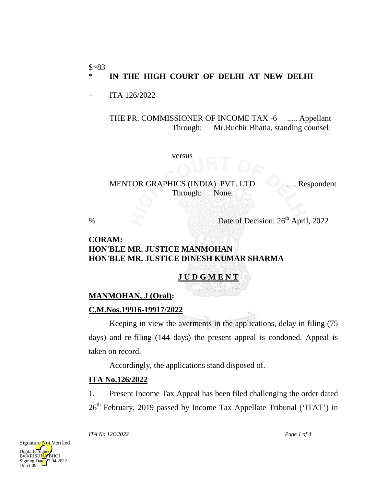#### $$~83$ \* **IN THE HIGH COURT OF DELHI AT NEW DELHI**

+ ITA 126/2022

THE PR. COMMISSIONER OF INCOME TAX -6 ..... Appellant Through: Mr.Ruchir Bhatia, standing counsel.

versus

MENTOR GRAPHICS (INDIA) PVT. LTD. ...... Respondent Through: None.

% Date of Decision:  $26<sup>th</sup>$  April, 2022

### **CORAM: HON'BLE MR. JUSTICE MANMOHAN HON'BLE MR. JUSTICE DINESH KUMAR SHARMA**

# **J U D G M E N T**

# **MANMOHAN, J (Oral):**

## **C.M.Nos.19916-19917/2022**

Keeping in view the averments in the applications, delay in filing (75 days) and re-filing (144 days) the present appeal is condoned. Appeal is taken on record.

Accordingly, the applications stand disposed of.

# **ITA No.126/2022**

1. Present Income Tax Appeal has been filed challenging the order dated  $26<sup>th</sup>$  February, 2019 passed by Income Tax Appellate Tribunal ('ITAT') in



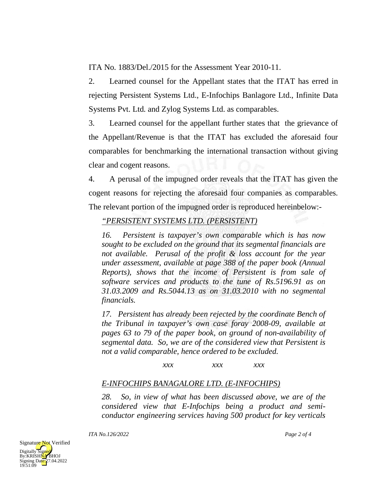ITA No. 1883/Del./2015 for the Assessment Year 2010-11.

2. Learned counsel for the Appellant states that the ITAT has erred in rejecting Persistent Systems Ltd., E-Infochips Banlagore Ltd., Infinite Data Systems Pvt. Ltd. and Zylog Systems Ltd. as comparables.

3. Learned counsel for the appellant further states that the grievance of the Appellant/Revenue is that the ITAT has excluded the aforesaid four comparables for benchmarking the international transaction without giving clear and cogent reasons.

4. A perusal of the impugned order reveals that the ITAT has given the cogent reasons for rejecting the aforesaid four companies as comparables. The relevant portion of the impugned order is reproduced hereinbelow:-

# *"PERSISTENT SYSTEMS LTD. (PERSISTENT)*

*16. Persistent is taxpayer's own comparable which is has now sought to be excluded on the ground that its segmental financials are not available. Perusal of the profit & loss account for the year under assessment, available at page 388 of the paper book (Annual Reports), shows that the income of Persistent is from sale of software services and products to the tune of Rs.5196.91 as on 31.03.2009 and Rs.5044.13 as on 31.03.2010 with no segmental financials.*

*17. Persistent has already been rejected by the coordinate Bench of the Tribunal in taxpayer's own case foray 2008-09, available at pages 63 to 79 of the paper book, on ground of non-availability of segmental data. So, we are of the considered view that Persistent is not a valid comparable, hence ordered to be excluded.*

#### *xxx xxx xxx*

## *E-INFOCHIPS BANAGALORE LTD. (E-INFOCHIPS)*

*28. So, in view of what has been discussed above, we are of the considered view that E-Infochips being a product and semiconductor engineering services having 500 product for key verticals*

*ITA No.126/2022 Page 2 of 4*



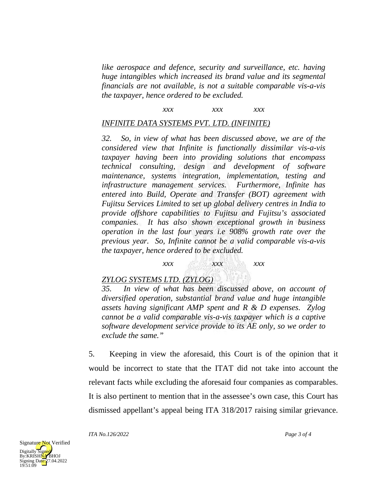*like aerospace and defence, security and surveillance, etc. having huge intangibles which increased its brand value and its segmental financials are not available, is not a suitable comparable vis-a-vis the taxpayer, hence ordered to be excluded.*

### *xxx xxx xxx*

#### *INFINITE DATA SYSTEMS PVT. LTD. (INFINITE)*

*32. So, in view of what has been discussed above, we are of the considered view that Infinite is functionally dissimilar vis-a-vis taxpayer having been into providing solutions that encompass technical consulting, design and development of software maintenance, systems integration, implementation, testing and infrastructure management services. Furthermore, Infinite has entered into Build, Operate and Transfer (BOT) agreement with Fujitsu Services Limited to set up global delivery centres in India to provide offshore capabilities to Fujitsu and Fujitsu's associated companies. It has also shown exceptional growth in business operation in the last four years i.e 908% growth rate over the previous year. So, Infinite cannot be a valid comparable vis-a-vis the taxpayer, hence ordered to be excluded.*

# *xxx xxx xxx*

#### *ZYLOG SYSTEMS LTD. (ZYLOG)*

*35. In view of what has been discussed above, on account of diversified operation, substantial brand value and huge intangible assets having significant AMP spent and R & D expenses. Zylog cannot be a valid comparable vis-a-vis taxpayer which is a captive software development service provide to its AE only, so we order to exclude the same."*

5. Keeping in view the aforesaid, this Court is of the opinion that it would be incorrect to state that the ITAT did not take into account the relevant facts while excluding the aforesaid four companies as comparables. It is also pertinent to mention that in the assessee's own case, this Court has dismissed appellant's appeal being ITA 318/2017 raising similar grievance.